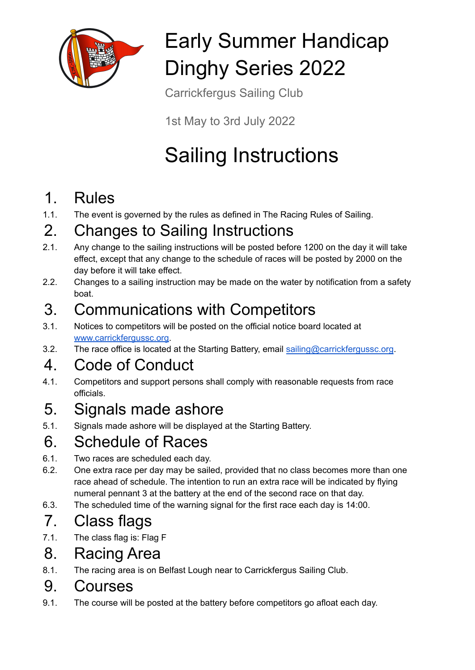

# Early Summer Handicap Dinghy Series 2022

Carrickfergus Sailing Club

1st May to 3rd July 2022

# Sailing Instructions

## 1. Rules

1.1. The event is governed by the rules as defined in The Racing Rules of Sailing.

## 2. Changes to Sailing Instructions

- 2.1. Any change to the sailing instructions will be posted before 1200 on the day it will take effect, except that any change to the schedule of races will be posted by 2000 on the day before it will take effect.
- 2.2. Changes to a sailing instruction may be made on the water by notification from a safety boat.

## 3. Communications with Competitors

- 3.1. Notices to competitors will be posted on the official notice board located at [www.carrickfergussc.org](http://www.carrickfergussc.org).
- 3.2. The race office is located at the Starting Battery, email [sailing@carrickfergussc.org](mailto:sailing@carrickfergussc.org).

# 4. Code of Conduct

4.1. Competitors and support persons shall comply with reasonable requests from race officials.

## 5. Signals made ashore

5.1. Signals made ashore will be displayed at the Starting Battery.

# 6. Schedule of Races

- 6.1. Two races are scheduled each day.
- 6.2. One extra race per day may be sailed, provided that no class becomes more than one race ahead of schedule. The intention to run an extra race will be indicated by flying numeral pennant 3 at the battery at the end of the second race on that day.
- 6.3. The scheduled time of the warning signal for the first race each day is 14:00.

# 7. Class flags

7.1. The class flag is: Flag F

## 8. Racing Area

8.1. The racing area is on Belfast Lough near to Carrickfergus Sailing Club.

#### 9. Courses

9.1. The course will be posted at the battery before competitors go afloat each day.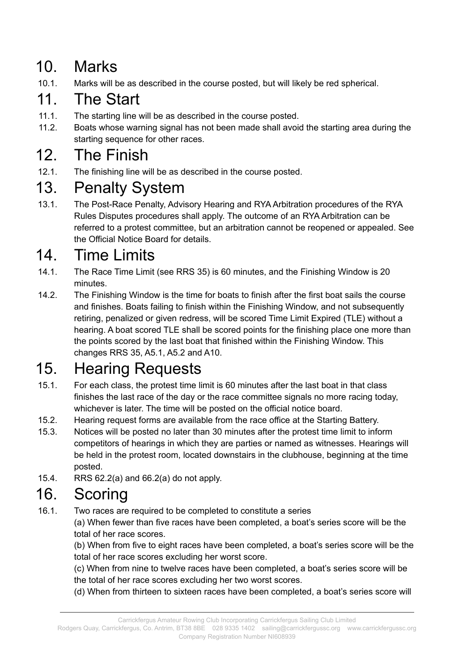## 10. Marks

10.1. Marks will be as described in the course posted, but will likely be red spherical.

## 11. The Start

- 11.1. The starting line will be as described in the course posted.
- 11.2. Boats whose warning signal has not been made shall avoid the starting area during the starting sequence for other races.

## 12. The Finish

12.1. The finishing line will be as described in the course posted.

## 13. Penalty System

13.1. The Post-Race Penalty, Advisory Hearing and RYA Arbitration procedures of the RYA Rules Disputes procedures shall apply. The outcome of an RYA Arbitration can be referred to a protest committee, but an arbitration cannot be reopened or appealed. See the Official Notice Board for details.

## 14. Time Limits

- 14.1. The Race Time Limit (see RRS 35) is 60 minutes, and the Finishing Window is 20 minutes.
- 14.2. The Finishing Window is the time for boats to finish after the first boat sails the course and finishes. Boats failing to finish within the Finishing Window, and not subsequently retiring, penalized or given redress, will be scored Time Limit Expired (TLE) without a hearing. A boat scored TLE shall be scored points for the finishing place one more than the points scored by the last boat that finished within the Finishing Window. This changes RRS 35, A5.1, A5.2 and A10.

## 15. Hearing Requests

- 15.1. For each class, the protest time limit is 60 minutes after the last boat in that class finishes the last race of the day or the race committee signals no more racing today, whichever is later. The time will be posted on the official notice board.
- 15.2. Hearing request forms are available from the race office at the Starting Battery.
- 15.3. Notices will be posted no later than 30 minutes after the protest time limit to inform competitors of hearings in which they are parties or named as witnesses. Hearings will be held in the protest room, located downstairs in the clubhouse, beginning at the time posted.
- 15.4. RRS 62.2(a) and 66.2(a) do not apply.

## 16. Scoring

16.1. Two races are required to be completed to constitute a series

(a) When fewer than five races have been completed, a boat's series score will be the total of her race scores.

(b) When from five to eight races have been completed, a boat's series score will be the total of her race scores excluding her worst score.

(c) When from nine to twelve races have been completed, a boat's series score will be the total of her race scores excluding her two worst scores.

(d) When from thirteen to sixteen races have been completed, a boat's series score will

Rodgers Quay, Carrickfergus, Co. Antrim, BT38 8BE 028 9335 1402 sailing@carrickfergussc.org www.carrickfergussc.org Company Registration Number NI608939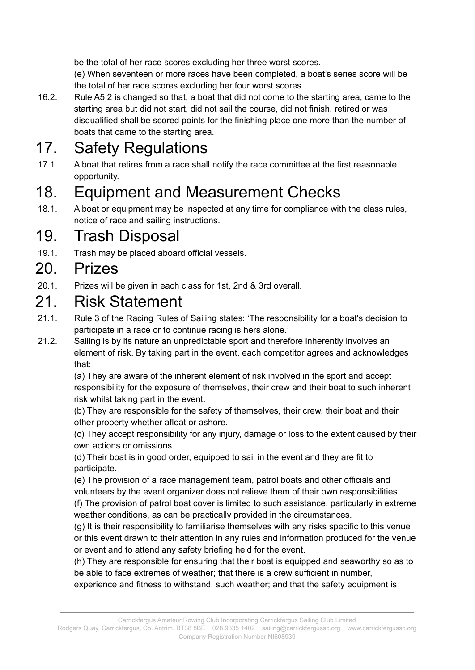be the total of her race scores excluding her three worst scores.

(e) When seventeen or more races have been completed, a boat's series score will be the total of her race scores excluding her four worst scores.

16.2. Rule A5.2 is changed so that, a boat that did not come to the starting area, came to the starting area but did not start, did not sail the course, did not finish, retired or was disqualified shall be scored points for the finishing place one more than the number of boats that came to the starting area.

## 17. Safety Regulations

17.1. A boat that retires from a race shall notify the race committee at the first reasonable opportunity.

## 18. Equipment and Measurement Checks

18.1. A boat or equipment may be inspected at any time for compliance with the class rules, notice of race and sailing instructions.

#### 19. Trash Disposal

19.1. Trash may be placed aboard official vessels.

#### 20. Prizes

20.1. Prizes will be given in each class for 1st, 2nd & 3rd overall.

#### 21. Risk Statement

- 21.1. Rule 3 of the Racing Rules of Sailing states: 'The responsibility for a boat's decision to participate in a race or to continue racing is hers alone.'
- 21.2. Sailing is by its nature an unpredictable sport and therefore inherently involves an element of risk. By taking part in the event, each competitor agrees and acknowledges that:

(a) They are aware of the inherent element of risk involved in the sport and accept responsibility for the exposure of themselves, their crew and their boat to such inherent risk whilst taking part in the event.

(b) They are responsible for the safety of themselves, their crew, their boat and their other property whether afloat or ashore.

(c) They accept responsibility for any injury, damage or loss to the extent caused by their own actions or omissions.

(d) Their boat is in good order, equipped to sail in the event and they are fit to participate.

(e) The provision of a race management team, patrol boats and other officials and volunteers by the event organizer does not relieve them of their own responsibilities.

(f) The provision of patrol boat cover is limited to such assistance, particularly in extreme weather conditions, as can be practically provided in the circumstances.

(g) It is their responsibility to familiarise themselves with any risks specific to this venue or this event drawn to their attention in any rules and information produced for the venue or event and to attend any safety briefing held for the event.

(h) They are responsible for ensuring that their boat is equipped and seaworthy so as to be able to face extremes of weather; that there is a crew sufficient in number,

experience and fitness to withstand such weather; and that the safety equipment is